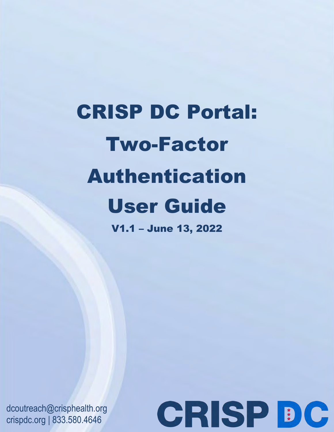# CRISP DC Portal: Two-Factor Authentication User Guide V1.1 – June 13, 2022

dcoutreach@crisphealth.org crispdc.org | 833.580.4646

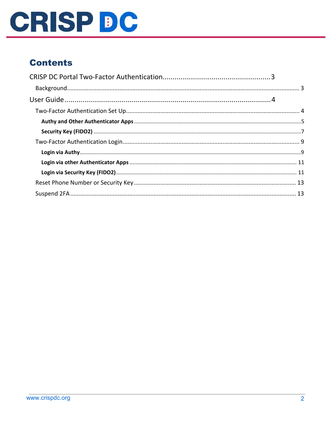

# **Contents**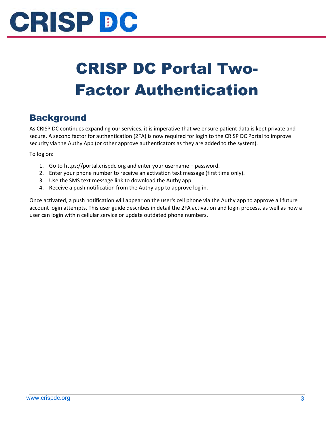

# <span id="page-2-0"></span>CRISP DC Portal Two-Factor Authentication

### <span id="page-2-1"></span>**Background**

As CRISP DC continues expanding our services, it is imperative that we ensure patient data is kept private and secure. A second factor for authentication (2FA) is now required for login to the CRISP DC Portal to improve security via the Authy App (or other approve authenticators as they are added to the system).

To log on:

- 1. Go to https://portal.crispdc.org and enter your username + password.
- 2. Enter your phone number to receive an activation text message (first time only).
- 3. Use the SMS text message link to download the Authy app.
- 4. Receive a push notification from the Authy app to approve log in.

Once activated, a push notification will appear on the user's cell phone via the Authy app to approve all future account login attempts. This user guide describes in detail the 2FA activation and login process, as well as how a user can login within cellular service or update outdated phone numbers.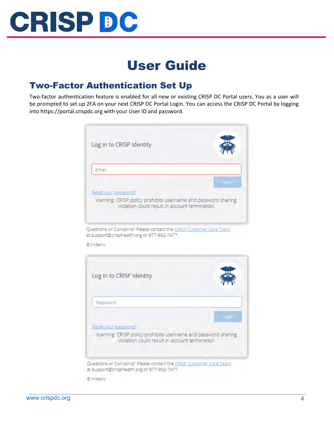

# User Guide

### <span id="page-3-1"></span><span id="page-3-0"></span>Two-Factor Authentication Set Up

Two-factor authentication feature is enabled for all new or existing CRISP DC Portal users. You as a user will be prompted to set up 2FA on your next CRISP DC Portal Login. You can access the CRISP DC Portal by logging into https://portal.crispdc.org with your User ID and password.



Questions or Concerns? Please contact the CRISP Customer Care Team at support@crisphealth.org or 877-952-7477.

© hMetrix



© hMetrix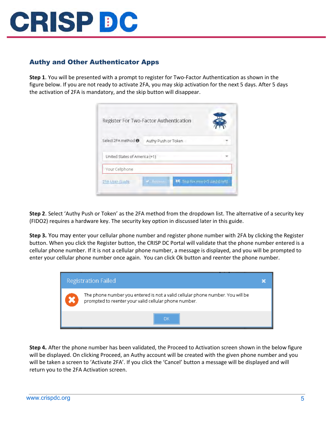

#### <span id="page-4-0"></span>Authy and Other Authenticator Apps

**Step 1**. You will be presented with a prompt to register for Two-Factor Authentication as shown in the figure below. If you are not ready to activate 2FA, you may skip activation for the next 5 days. After 5 days the activation of 2FA is mandatory, and the skip button will disappear.

|                               | Register For Two-Factor Authentication |                                  |
|-------------------------------|----------------------------------------|----------------------------------|
| Select 2FA method: ●          | Authy Push or Token                    |                                  |
| United States of America (+1) |                                        |                                  |
| Your Cellphone                |                                        |                                  |
| 2FA User Guide                | <b>Community</b>                       | MI Skip for now (<5 day(s) left) |

**Step 2**. Select 'Authy Push or Token' as the 2FA method from the dropdown list. The alternative of a security key (FIDO2) requires a hardware key. The security key option in discussed later in this guide.

**Step 3.** You may enter your cellular phone number and register phone number with 2FA by clicking the Register button. When you click the Register button, the CRISP DC Portal will validate that the phone number entered is a cellular phone number. If it is not a cellular phone number, a message is displayed, and you will be prompted to enter your cellular phone number once again. You can click Ok button and reenter the phone number.



**Step 4.** After the phone number has been validated, the Proceed to Activation screen shown in the below figure will be displayed. On clicking Proceed, an Authy account will be created with the given phone number and you will be taken a screen to 'Activate 2FA'. If you click the 'Cancel' button a message will be displayed and will return you to the 2FA Activation screen.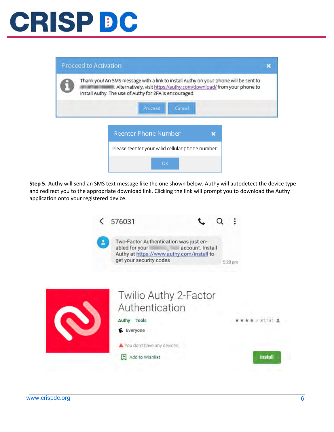# **CRISP DC**

| Proceed to Activation |                                                                                                                                                                                                                       |  |  |
|-----------------------|-----------------------------------------------------------------------------------------------------------------------------------------------------------------------------------------------------------------------|--|--|
|                       | Thank you! An SMS message with a link to install Authy on your phone will be sent to<br>Alternatively, visit https://authy.com/download/ from your phone to<br>install Authy. The use of Authy for 2FA is encouraged. |  |  |
|                       | Cancel<br>Proceed                                                                                                                                                                                                     |  |  |
|                       | Reenter Phone Number                                                                                                                                                                                                  |  |  |
|                       | Please reenter your valid cellular phone number.                                                                                                                                                                      |  |  |
|                       | <b>OK</b>                                                                                                                                                                                                             |  |  |

**Step 5**. Authy will send an SMS text message like the one shown below. Authy will autodetect the device type and redirect you to the appropriate download link. Clicking the link will prompt you to download the Authy application onto your registered device.

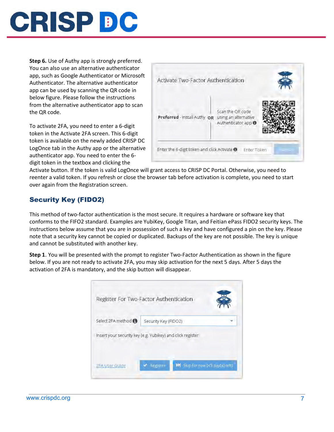

**Step 6.** Use of Authy app is strongly preferred. You can also use an alternative authenticator app, such as Google Authenticator or Microsoft Authenticator. The alternative authenticator app can be used by scanning the QR code in below figure. Please follow the instructions from the alternative authenticator app to scan the QR code.

To activate 2FA, you need to enter a 6-digit token in the Activate 2FA screen. This 6-digit token is available on the newly added CRISP DC LogOnce tab in the Authy app or the alternative authenticator app. You need to enter the 6 digit token in the textbox and clicking the

| Activate Two-Factor Authentication |                                                                            |  |
|------------------------------------|----------------------------------------------------------------------------|--|
| Preferred - Install Authy OR       | Scan the QR code<br>using an alternative<br>Authenticator app <sup>6</sup> |  |

Activate button. If the token is valid LogOnce will grant access to CRISP DC Portal. Otherwise, you need to reenter a valid token. If you refresh or close the browser tab before activation is complete, you need to start over again from the Registration screen.

#### <span id="page-6-0"></span>Security Key (FIDO2)

This method of two-factor authentication is the most secure. It requires a hardware or software key that conforms to the FIFO2 standard. Examples are YubiKey, Google Titan, and Feitian ePass FIDO2 security keys. The instructions below assume that you are in possession of such a key and have configured a pin on the key. Please note that a security key cannot be copied or duplicated. Backups of the key are not possible. The key is unique and cannot be substituted with another key.

**Step 1**. You will be presented with the prompt to register Two-Factor Authentication as shown in the figure below. If you are not ready to activate 2FA, you may skip activation for the next 5 days. After 5 days the activation of 2FA is mandatory, and the skip button will disappear.

|                    | Register For Two-Factor Authentication                     |                                 |
|--------------------|------------------------------------------------------------|---------------------------------|
| Select 2FA method: | Security Key (FIDO2)                                       |                                 |
|                    | Insert your security key (e.g. Yubikey) and click register |                                 |
| 2FA User Guide     | Register                                                   | M Skip for now (<5 day(s) left) |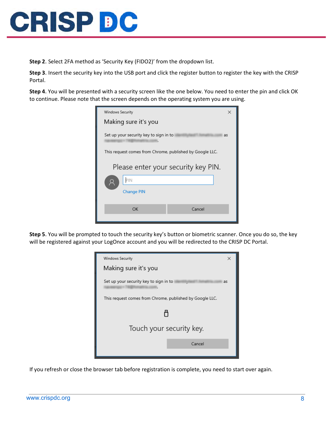

**Step 2**. Select 2FA method as 'Security Key (FIDO2)' from the dropdown list.

**Step 3**. Insert the security key into the USB port and click the register button to register the key with the CRISP Portal.

**Step 4**. You will be presented with a security screen like the one below. You need to enter the pin and click OK to continue. Please note that the screen depends on the operating system you are using.

| Windows Security                                         | × |  |  |
|----------------------------------------------------------|---|--|--|
| Making sure it's you                                     |   |  |  |
| Set up your security key to sign in to<br>as             |   |  |  |
| This request comes from Chrome, published by Google LLC. |   |  |  |
| Please enter your security key PIN.                      |   |  |  |
| PIN                                                      |   |  |  |
| <b>Change PIN</b>                                        |   |  |  |
|                                                          |   |  |  |
| OK<br>Cancel                                             |   |  |  |
|                                                          |   |  |  |

**Step 5**. You will be prompted to touch the security key's button or biometric scanner. Once you do so, the key will be registered against your LogOnce account and you will be redirected to the CRISP DC Portal.



If you refresh or close the browser tab before registration is complete, you need to start over again.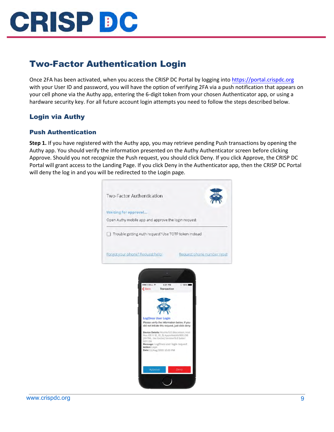

### <span id="page-8-0"></span>Two-Factor Authentication Login

Once 2FA has been activated, when you access the CRISP DC Portal by logging int[o https://portal.crispdc.org](https://portal.crispdc.org/) with your User ID and password, you will have the option of verifying 2FA via a push notification that appears on your cell phone via the Authy app, entering the 6-digit token from your chosen Authenticator app, or using a hardware security key. For all future account login attempts you need to follow the steps described below.

#### <span id="page-8-1"></span>Login via Authy

#### Push Authentication

**Step 1.** If you have registered with the Authy app, you may retrieve pending Push transactions by opening the Authy app. You should verify the information presented on the Authy Authenticator screen before clicking Approve. Should you not recognize the Push request, you should click Deny. If you click Approve, the CRISP DC Portal will grant access to the Landing Page. If you click Deny in the Authenticator app, then the CRISP DC Portal will deny the log in and you will be redirected to the Login page.



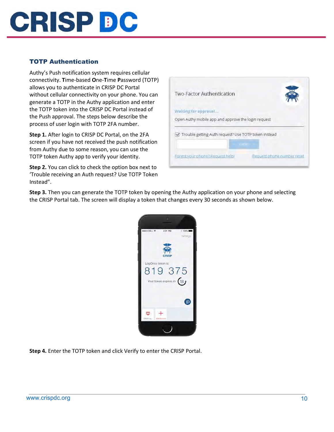

#### TOTP Authentication

Authy's Push notification system requires cellular connectivity. **T**ime-based **O**ne-**T**ime **P**assword (TOTP) allows you to authenticate in CRISP DC Portal without cellular connectivity on your phone. You can generate a TOTP in the Authy application and enter the TOTP token into the CRISP DC Portal instead of the Push approval. The steps below describe the process of user login with TOTP 2FA number.

**Step 1.** After login to CRISP DC Portal, on the 2FA screen if you have not received the push notification from Authy due to some reason, you can use the TOTP token Authy app to verify your identity.

**Step 2.** You can click to check the option box next to 'Trouble receiving an Auth request? Use TOTP Token Instead".



**Step 3.** Then you can generate the TOTP token by opening the Authy application on your phone and selecting the CRISP Portal tab. The screen will display a token that changes every 30 seconds as shown below.



**Step 4.** Enter the TOTP token and click Verify to enter the CRISP Portal.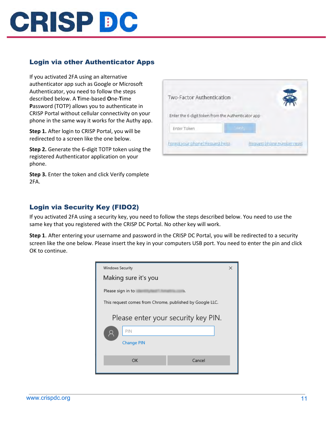# **CRISP DC**

#### <span id="page-10-0"></span>Login via other Authenticator Apps

If you activated 2FA using an alternative authenticator app such as Google or Microsoft Authenticator, you need to follow the steps described below. A **T**ime-based **O**ne-**T**ime **P**assword (TOTP) allows you to authenticate in CRISP Portal without cellular connectivity on your phone in the same way it works for the Authy app.

**Step 1.** After login to CRISP Portal, you will be redirected to a screen like the one below.

**Step 2.** Generate the 6-digit TOTP token using the registered Authenticator application on your phone.

**Step 3.** Enter the token and click Verify complete 2FA.

| Two-Factor Authentication                          |              |                            |
|----------------------------------------------------|--------------|----------------------------|
| Enter the 6-digit token from the Authenticator app |              |                            |
| Enter Token                                        | <b>Merik</b> |                            |
| Forgot your phone? Request help!                   |              | Request phone number reset |

#### <span id="page-10-1"></span>Login via Security Key (FIDO2)

If you activated 2FA using a security key, you need to follow the steps described below. You need to use the same key that you registered with the CRISP DC Portal. No other key will work.

**Step 1**. After entering your username and password in the CRISP DC Portal, you will be redirected to a security screen like the one below. Please insert the key in your computers USB port. You need to enter the pin and click OK to continue.

| Windows Security                                         | $\times$ |  |  |
|----------------------------------------------------------|----------|--|--|
| Making sure it's you                                     |          |  |  |
| Please sign in to<br>ı.                                  |          |  |  |
| This request comes from Chrome, published by Google LLC. |          |  |  |
| Please enter your security key PIN.                      |          |  |  |
| PIN                                                      |          |  |  |
| <b>Change PIN</b>                                        |          |  |  |
| OK<br>Cancel                                             |          |  |  |
|                                                          |          |  |  |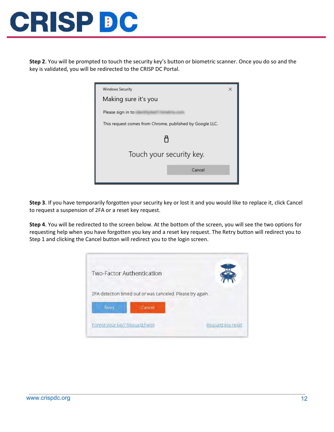

**Step 2**. You will be prompted to touch the security key's button or biometric scanner. Once you do so and the key is validated, you will be redirected to the CRISP DC Portal.



**Step 3**. If you have temporarily forgotten your security key or lost it and you would like to replace it, click Cancel to request a suspension of 2FA or a reset key request.

**Step 4**. You will be redirected to the screen below. At the bottom of the screen, you will see the two options for requesting help when you have forgotten you key and a reset key request. The Retry button will redirect you to Step 1 and clicking the Cancel button will redirect you to the login screen.